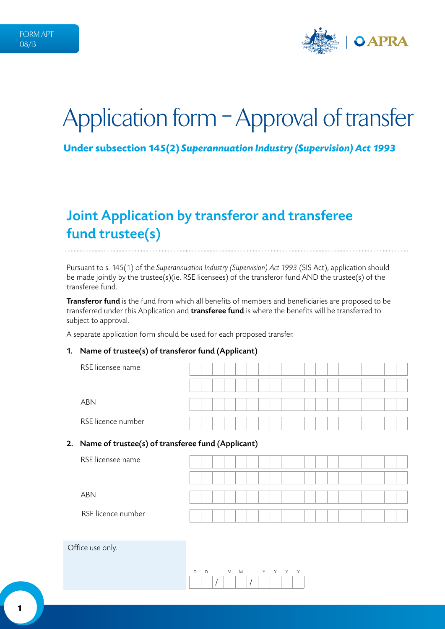

# Application form – Approval of transfer

**Under subsection 145(2)** *Superannuation Industry (Supervision) Act 1993* 

# Joint Application by transferor and transferee fund trustee(s)

Pursuant to s. 145(1) of the *Superannuation Industry (Supervision) Act 1993* (SIS Act), application should be made jointly by the trustee(s)(ie. RSE licensees) of the transferor fund AND the trustee(s) of the transferee fund.

Transferor fund is the fund from which all benefits of members and beneficiaries are proposed to be transferred under this Application and **transferee fund** is where the benefits will be transferred to subject to approval.

A separate application form should be used for each proposed transfer.

#### 1. Name of trustee(s) of transferor fund (Applicant)

| RSE licensee name  |  |  |  |  |  |  |  |  |  |  |
|--------------------|--|--|--|--|--|--|--|--|--|--|
|                    |  |  |  |  |  |  |  |  |  |  |
| <b>ABN</b>         |  |  |  |  |  |  |  |  |  |  |
| RSE licence number |  |  |  |  |  |  |  |  |  |  |

#### 2. Name of trustee(s) of transferee fund (Applicant)

| RSE licensee name  |  |  |  |  |  |  |  |  |  |  |
|--------------------|--|--|--|--|--|--|--|--|--|--|
|                    |  |  |  |  |  |  |  |  |  |  |
| <b>ABN</b>         |  |  |  |  |  |  |  |  |  |  |
| RSE licence number |  |  |  |  |  |  |  |  |  |  |

Office use only.

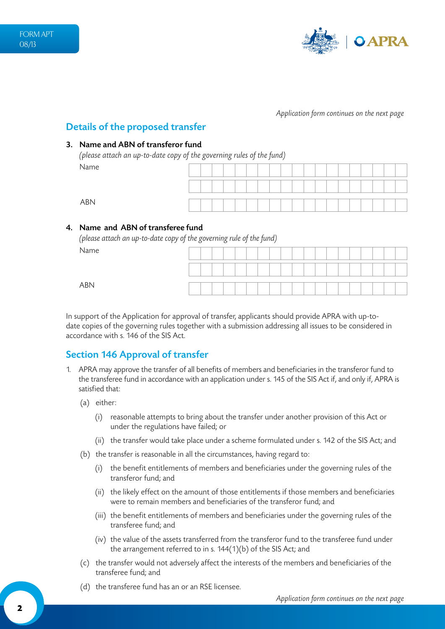

### Details of the proposed transfer

#### 3. Name and ABN of transferor fund

*(please attach an up-to-date copy of the governing rules of the fund)* Name

ABN

#### 4. Name and ABN of transferee fund

*(please attach an up-to-date copy of the governing rule of the fund)*  $\overline{D}$ 

| Name       |  |  |  |  |  |  |  |  |  |  |
|------------|--|--|--|--|--|--|--|--|--|--|
|            |  |  |  |  |  |  |  |  |  |  |
| <b>ABN</b> |  |  |  |  |  |  |  |  |  |  |

In support of the Application for approval of transfer, applicants should provide APRA with up-todate copies of the governing rules together with a submission addressing all issues to be considered in accordance with s. 146 of the SIS Act.

## Section 146 Approval of transfer

- 1. APRA may approve the transfer of all benefits of members and beneficiaries in the transferor fund to the transferee fund in accordance with an application under s. 145 of the SIS Act if, and only if, APRA is satisfied that:
	- (a) either:
		- (i) reasonable attempts to bring about the transfer under another provision of this Act or under the regulations have failed; or
		- (ii) the transfer would take place under a scheme formulated under s. 142 of the SIS Act; and
	- (b) the transfer is reasonable in all the circumstances, having regard to:
		- (i) the benefit entitlements of members and beneficiaries under the governing rules of the transferor fund; and
		- (ii) the likely effect on the amount of those entitlements if those members and beneficiaries were to remain members and beneficiaries of the transferor fund; and
		- (iii) the benefit entitlements of members and beneficiaries under the governing rules of the transferee fund; and
		- (iv) the value of the assets transferred from the transferor fund to the transferee fund under the arrangement referred to in s. 144(1)(b) of the SIS Act; and
	- (c) the transfer would not adversely affect the interests of the members and beneficiaries of the transferee fund; and
	- (d) the transferee fund has an or an RSE licensee.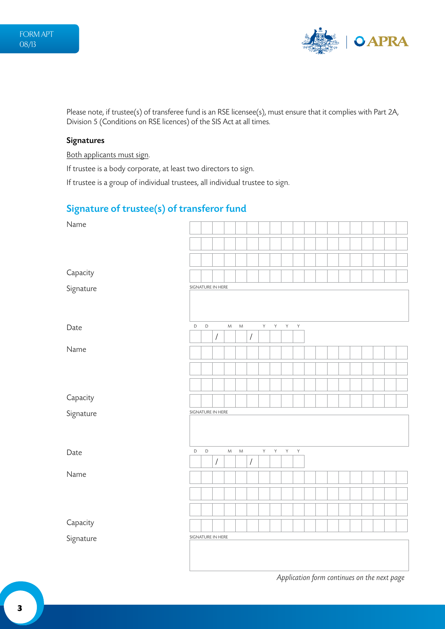

Please note, if trustee(s) of transferee fund is an RSE licensee(s), must ensure that it complies with Part 2A, Division 5 (Conditions on RSE licences) of the SIS Act at all times.

#### Signatures

Both applicants must sign.

If trustee is a body corporate, at least two directors to sign.

If trustee is a group of individual trustees, all individual trustee to sign.

## Signature of trustee(s) of transferor fund

| Name      |                   |             |                      |           |           |                      |    |   |              |   |  |  |  |  |  |
|-----------|-------------------|-------------|----------------------|-----------|-----------|----------------------|----|---|--------------|---|--|--|--|--|--|
|           |                   |             |                      |           |           |                      |    |   |              |   |  |  |  |  |  |
|           |                   |             |                      |           |           |                      |    |   |              |   |  |  |  |  |  |
| Capacity  |                   |             |                      |           |           |                      |    |   |              |   |  |  |  |  |  |
| Signature | SIGNATURE IN HERE |             |                      |           |           |                      |    |   |              |   |  |  |  |  |  |
| Date      | D                 | $\mathsf D$ | $\overline{ }$       | ${\sf M}$ | ${\sf M}$ | $\sqrt{\phantom{a}}$ | Y  | Y | $\mathsf{Y}$ | Y |  |  |  |  |  |
| Name      |                   |             |                      |           |           |                      |    |   |              |   |  |  |  |  |  |
|           |                   |             |                      |           |           |                      |    |   |              |   |  |  |  |  |  |
|           |                   |             |                      |           |           |                      |    |   |              |   |  |  |  |  |  |
| Capacity  |                   |             |                      |           |           |                      |    |   |              |   |  |  |  |  |  |
| Signature | SIGNATURE IN HERE |             |                      |           |           |                      |    |   |              |   |  |  |  |  |  |
| Date      | $\mathsf D$       | $\mathsf D$ |                      | ${\sf M}$ | ${\sf M}$ |                      | Y. | Y | Y.           | Y |  |  |  |  |  |
|           |                   |             | $\sqrt{\phantom{a}}$ |           |           | $\overline{I}$       |    |   |              |   |  |  |  |  |  |
| Name      |                   |             |                      |           |           |                      |    |   |              |   |  |  |  |  |  |
|           |                   |             |                      |           |           |                      |    |   |              |   |  |  |  |  |  |
|           |                   |             |                      |           |           |                      |    |   |              |   |  |  |  |  |  |
| Capacity  |                   |             |                      |           |           |                      |    |   |              |   |  |  |  |  |  |
| Signature | SIGNATURE IN HERE |             |                      |           |           |                      |    |   |              |   |  |  |  |  |  |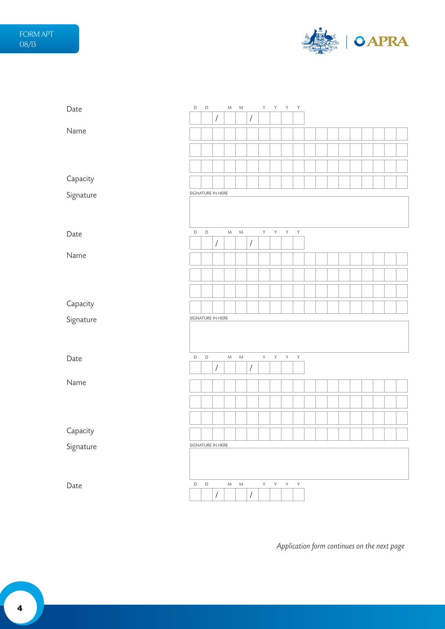

| Date      | $\mathsf D$ | $\mathsf D$ |                   | ${\sf M}$ | $M_{\odot}$ |                      | $\mathsf{Y}^-$ | Y            | Y            | $\mathsf{Y}$ |  |  |  |  |  |
|-----------|-------------|-------------|-------------------|-----------|-------------|----------------------|----------------|--------------|--------------|--------------|--|--|--|--|--|
|           |             |             | $\sqrt{2}$        |           |             | $\sqrt{2}$           |                |              |              |              |  |  |  |  |  |
| Name      |             |             |                   |           |             |                      |                |              |              |              |  |  |  |  |  |
|           |             |             |                   |           |             |                      |                |              |              |              |  |  |  |  |  |
|           |             |             |                   |           |             |                      |                |              |              |              |  |  |  |  |  |
| Capacity  |             |             |                   |           |             |                      |                |              |              |              |  |  |  |  |  |
| Signature |             |             | SIGNATURE IN HERE |           |             |                      |                |              |              |              |  |  |  |  |  |
|           |             |             |                   |           |             |                      |                |              |              |              |  |  |  |  |  |
| Date      | $\mathsf D$ | $\mathsf D$ |                   | M         | $M_{\odot}$ |                      | Y              | Y            | Y            | Y            |  |  |  |  |  |
|           |             |             | $\sqrt{2}$        |           |             | $\sqrt{\phantom{a}}$ |                |              |              |              |  |  |  |  |  |
| Name      |             |             |                   |           |             |                      |                |              |              |              |  |  |  |  |  |
|           |             |             |                   |           |             |                      |                |              |              |              |  |  |  |  |  |
|           |             |             |                   |           |             |                      |                |              |              |              |  |  |  |  |  |
| Capacity  |             |             |                   |           |             |                      |                |              |              |              |  |  |  |  |  |
| Signature |             |             | SIGNATURE IN HERE |           |             |                      |                |              |              |              |  |  |  |  |  |
|           |             |             |                   |           |             |                      |                |              |              |              |  |  |  |  |  |
| Date      | $\mathsf D$ | $\mathsf D$ |                   | ${\sf M}$ | ${\sf M}$   |                      | $\mathsf{Y}$   | $\mathsf{Y}$ | $\mathsf{Y}$ | $\mathsf Y$  |  |  |  |  |  |
|           |             |             | $\sqrt{2}$        |           |             | $\sqrt{2}$           |                |              |              |              |  |  |  |  |  |
| Name      |             |             |                   |           |             |                      |                |              |              |              |  |  |  |  |  |
|           |             |             |                   |           |             |                      |                |              |              |              |  |  |  |  |  |
|           |             |             |                   |           |             |                      |                |              |              |              |  |  |  |  |  |
| Capacity  |             |             |                   |           |             |                      |                |              |              |              |  |  |  |  |  |
| Signature |             |             | SIGNATURE IN HERE |           |             |                      |                |              |              |              |  |  |  |  |  |
|           |             |             |                   |           |             |                      |                |              |              |              |  |  |  |  |  |
| Date      | $\mathsf D$ | $\mathsf D$ |                   | ${\sf M}$ | ${\sf M}$   |                      | Y.             | Y            | $\mathsf{Y}$ | $\mathsf{Y}$ |  |  |  |  |  |
|           |             |             | $\sqrt{ }$        |           |             | $\overline{1}$       |                |              |              |              |  |  |  |  |  |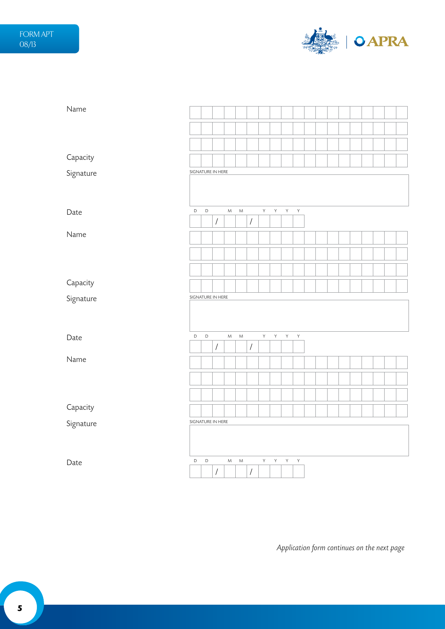

| Name      |                   |             |                      |           |           |                      |                |   |              |              |  |  |  |  |  |
|-----------|-------------------|-------------|----------------------|-----------|-----------|----------------------|----------------|---|--------------|--------------|--|--|--|--|--|
|           |                   |             |                      |           |           |                      |                |   |              |              |  |  |  |  |  |
|           |                   |             |                      |           |           |                      |                |   |              |              |  |  |  |  |  |
| Capacity  |                   |             |                      |           |           |                      |                |   |              |              |  |  |  |  |  |
| Signature | SIGNATURE IN HERE |             |                      |           |           |                      |                |   |              |              |  |  |  |  |  |
|           |                   |             |                      |           |           |                      |                |   |              |              |  |  |  |  |  |
| Date      | D                 | $\mathsf D$ |                      | ${\sf M}$ | ${\sf M}$ |                      | $\mathsf{Y}^-$ | Y | Y            | $\mathsf{Y}$ |  |  |  |  |  |
| Name      |                   |             | $\overline{1}$       |           |           | $\sqrt{\phantom{a}}$ |                |   |              |              |  |  |  |  |  |
|           |                   |             |                      |           |           |                      |                |   |              |              |  |  |  |  |  |
|           |                   |             |                      |           |           |                      |                |   |              |              |  |  |  |  |  |
|           |                   |             |                      |           |           |                      |                |   |              |              |  |  |  |  |  |
| Capacity  |                   |             |                      |           |           |                      |                |   |              |              |  |  |  |  |  |
| Signature | SIGNATURE IN HERE |             |                      |           |           |                      |                |   |              |              |  |  |  |  |  |
|           |                   |             |                      |           |           |                      |                |   |              |              |  |  |  |  |  |
| Date      | $\mathsf D$       | $\mathsf D$ |                      | M         | ${\sf M}$ |                      | Y.             | Y | Y            | $\mathsf{Y}$ |  |  |  |  |  |
| Name      |                   |             | $\sqrt{\phantom{a}}$ |           |           | $\sqrt{\phantom{a}}$ |                |   |              |              |  |  |  |  |  |
|           |                   |             |                      |           |           |                      |                |   |              |              |  |  |  |  |  |
|           |                   |             |                      |           |           |                      |                |   |              |              |  |  |  |  |  |
|           |                   |             |                      |           |           |                      |                |   |              |              |  |  |  |  |  |
| Capacity  |                   |             |                      |           |           |                      |                |   |              |              |  |  |  |  |  |
| Signature | SIGNATURE IN HERE |             |                      |           |           |                      |                |   |              |              |  |  |  |  |  |
|           |                   |             |                      |           |           |                      |                |   |              |              |  |  |  |  |  |
| Date      | D                 | $\mathsf D$ |                      | M         | ${\sf M}$ | $\sqrt{\phantom{a}}$ | $\mathsf{Y}^-$ | Y | $\mathsf{Y}$ | $\mathsf{Y}$ |  |  |  |  |  |
|           |                   |             | $\overline{1}$       |           |           |                      |                |   |              |              |  |  |  |  |  |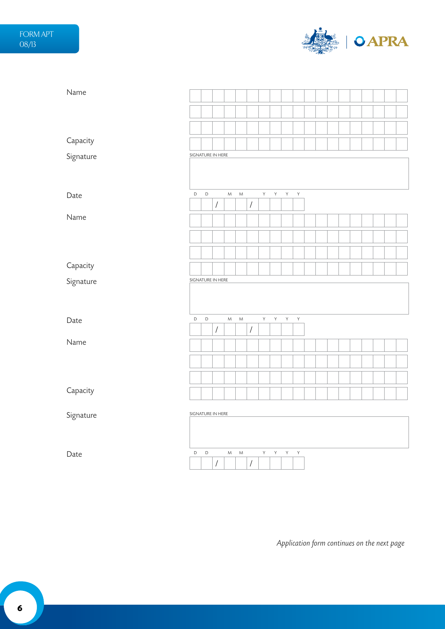

| Name      |             |             |                      |                                                                                                            |           |                      |         |              |              |              |  |  |  |  |  |
|-----------|-------------|-------------|----------------------|------------------------------------------------------------------------------------------------------------|-----------|----------------------|---------|--------------|--------------|--------------|--|--|--|--|--|
|           |             |             |                      |                                                                                                            |           |                      |         |              |              |              |  |  |  |  |  |
|           |             |             |                      |                                                                                                            |           |                      |         |              |              |              |  |  |  |  |  |
| Capacity  |             |             |                      |                                                                                                            |           |                      |         |              |              |              |  |  |  |  |  |
| Signature |             |             | SIGNATURE IN HERE    |                                                                                                            |           |                      |         |              |              |              |  |  |  |  |  |
|           |             |             |                      |                                                                                                            |           |                      |         |              |              |              |  |  |  |  |  |
|           | $\mathsf D$ | $\mathsf D$ |                      | $\mathsf{M}% _{T}=\mathsf{M}_{T}\!\left( a,b\right) ,\ \mathsf{M}_{T}=\mathsf{M}_{T}\!\left( a,b\right) ,$ | ${\sf M}$ |                      | $\sf Y$ | $\mathsf{Y}$ | $\mathsf{Y}$ | $\mathsf Y$  |  |  |  |  |  |
| Date      |             |             | $\sqrt{\phantom{a}}$ |                                                                                                            |           | $\sqrt{\phantom{a}}$ |         |              |              |              |  |  |  |  |  |
| Name      |             |             |                      |                                                                                                            |           |                      |         |              |              |              |  |  |  |  |  |
|           |             |             |                      |                                                                                                            |           |                      |         |              |              |              |  |  |  |  |  |
|           |             |             |                      |                                                                                                            |           |                      |         |              |              |              |  |  |  |  |  |
| Capacity  |             |             |                      |                                                                                                            |           |                      |         |              |              |              |  |  |  |  |  |
| Signature |             |             | SIGNATURE IN HERE    |                                                                                                            |           |                      |         |              |              |              |  |  |  |  |  |
|           |             |             |                      |                                                                                                            |           |                      |         |              |              |              |  |  |  |  |  |
|           |             |             |                      |                                                                                                            |           |                      |         |              |              |              |  |  |  |  |  |
| Date      | $\mathsf D$ | $\mathsf D$ |                      | ${\sf M}$                                                                                                  | ${\sf M}$ |                      | Y.      | Y            | Y            | $\mathsf{Y}$ |  |  |  |  |  |
| Name      |             |             | $\overline{I}$       |                                                                                                            |           | $\sqrt{\phantom{a}}$ |         |              |              |              |  |  |  |  |  |
|           |             |             |                      |                                                                                                            |           |                      |         |              |              |              |  |  |  |  |  |
|           |             |             |                      |                                                                                                            |           |                      |         |              |              |              |  |  |  |  |  |
|           |             |             |                      |                                                                                                            |           |                      |         |              |              |              |  |  |  |  |  |
| Capacity  |             |             |                      |                                                                                                            |           |                      |         |              |              |              |  |  |  |  |  |
| Signature |             |             | SIGNATURE IN HERE    |                                                                                                            |           |                      |         |              |              |              |  |  |  |  |  |
|           |             |             |                      |                                                                                                            |           |                      |         |              |              |              |  |  |  |  |  |
|           |             |             |                      |                                                                                                            |           |                      |         |              |              |              |  |  |  |  |  |
|           |             |             |                      |                                                                                                            |           |                      |         |              |              |              |  |  |  |  |  |
| Date      | $\mathsf D$ | $\mathsf D$ | $\overline{I}$       | M                                                                                                          | ${\sf M}$ | $\sqrt{\phantom{a}}$ | Y.      | Y            | Y            | Y            |  |  |  |  |  |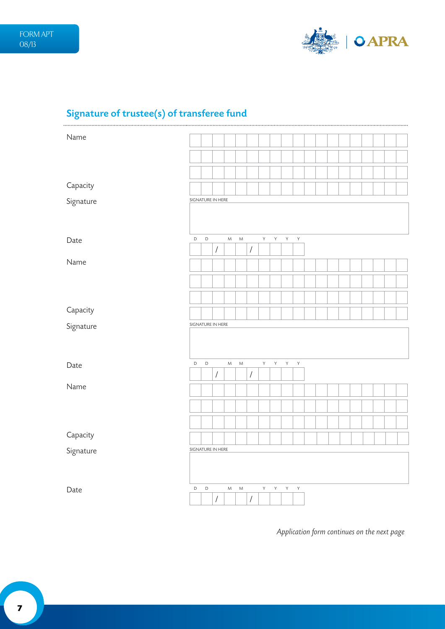

# Signature of trustee(s) of transferee fund

| Name      |                   |             |                      |           |           |                      |    |   |              |              |  |  |  |  |  |
|-----------|-------------------|-------------|----------------------|-----------|-----------|----------------------|----|---|--------------|--------------|--|--|--|--|--|
|           |                   |             |                      |           |           |                      |    |   |              |              |  |  |  |  |  |
|           |                   |             |                      |           |           |                      |    |   |              |              |  |  |  |  |  |
|           |                   |             |                      |           |           |                      |    |   |              |              |  |  |  |  |  |
|           |                   |             |                      |           |           |                      |    |   |              |              |  |  |  |  |  |
| Capacity  |                   |             |                      |           |           |                      |    |   |              |              |  |  |  |  |  |
| Signature | SIGNATURE IN HERE |             |                      |           |           |                      |    |   |              |              |  |  |  |  |  |
|           |                   |             |                      |           |           |                      |    |   |              |              |  |  |  |  |  |
| Date      | $\mathsf D$       | $\mathsf D$ |                      | ${\sf M}$ | ${\sf M}$ |                      | Y. | Y | Y            | Υ            |  |  |  |  |  |
|           |                   |             | $\overline{1}$       |           |           | $\overline{1}$       |    |   |              |              |  |  |  |  |  |
| Name      |                   |             |                      |           |           |                      |    |   |              |              |  |  |  |  |  |
|           |                   |             |                      |           |           |                      |    |   |              |              |  |  |  |  |  |
|           |                   |             |                      |           |           |                      |    |   |              |              |  |  |  |  |  |
|           |                   |             |                      |           |           |                      |    |   |              |              |  |  |  |  |  |
| Capacity  |                   |             |                      |           |           |                      |    |   |              |              |  |  |  |  |  |
| Signature | SIGNATURE IN HERE |             |                      |           |           |                      |    |   |              |              |  |  |  |  |  |
|           |                   |             |                      |           |           |                      |    |   |              |              |  |  |  |  |  |
| Date      | $\mathsf D$       | $\mathsf D$ |                      | ${\sf M}$ | ${\sf M}$ |                      | Y  | Y | $\mathsf{Y}$ | $\mathsf{Y}$ |  |  |  |  |  |
|           |                   |             | $\sqrt{\phantom{a}}$ |           |           | $\sqrt{\phantom{a}}$ |    |   |              |              |  |  |  |  |  |
| Name      |                   |             |                      |           |           |                      |    |   |              |              |  |  |  |  |  |
|           |                   |             |                      |           |           |                      |    |   |              |              |  |  |  |  |  |
|           |                   |             |                      |           |           |                      |    |   |              |              |  |  |  |  |  |
|           |                   |             |                      |           |           |                      |    |   |              |              |  |  |  |  |  |
| Capacity  |                   |             |                      |           |           |                      |    |   |              |              |  |  |  |  |  |
| Signature | SIGNATURE IN HERE |             |                      |           |           |                      |    |   |              |              |  |  |  |  |  |
|           |                   |             |                      |           |           |                      |    |   |              |              |  |  |  |  |  |
| Date      | $\mathsf D$       | $\mathsf D$ |                      | M         | ${\sf M}$ |                      | Y  | Y | Y            | Y            |  |  |  |  |  |
|           |                   |             | $\sqrt{\phantom{a}}$ |           |           | $\sqrt{\phantom{a}}$ |    |   |              |              |  |  |  |  |  |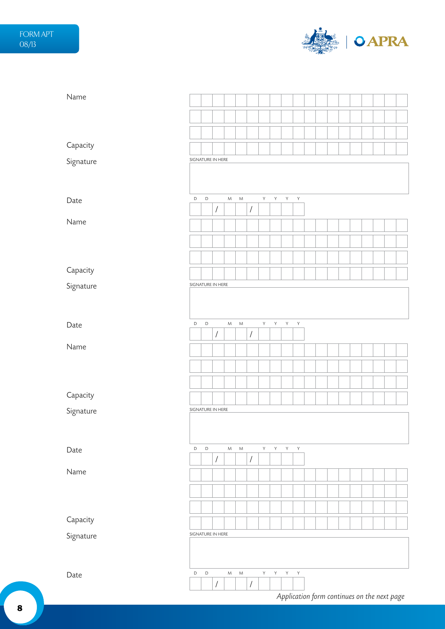

| Name      |                   |             |                      |           |           |                      |    |              |              |              |  |  |  |  |  |
|-----------|-------------------|-------------|----------------------|-----------|-----------|----------------------|----|--------------|--------------|--------------|--|--|--|--|--|
|           |                   |             |                      |           |           |                      |    |              |              |              |  |  |  |  |  |
|           |                   |             |                      |           |           |                      |    |              |              |              |  |  |  |  |  |
| Capacity  |                   |             |                      |           |           |                      |    |              |              |              |  |  |  |  |  |
| Signature | SIGNATURE IN HERE |             |                      |           |           |                      |    |              |              |              |  |  |  |  |  |
|           |                   |             |                      |           |           |                      |    |              |              |              |  |  |  |  |  |
| Date      | $\mathsf D$       | $\mathsf D$ | $\overline{I}$       | ${\sf M}$ | ${\sf M}$ | $\sqrt{\phantom{a}}$ | Y. | Y            | $\mathsf{Y}$ | $\mathsf Y$  |  |  |  |  |  |
| Name      |                   |             |                      |           |           |                      |    |              |              |              |  |  |  |  |  |
|           |                   |             |                      |           |           |                      |    |              |              |              |  |  |  |  |  |
|           |                   |             |                      |           |           |                      |    |              |              |              |  |  |  |  |  |
| Capacity  |                   |             |                      |           |           |                      |    |              |              |              |  |  |  |  |  |
| Signature | SIGNATURE IN HERE |             |                      |           |           |                      |    |              |              |              |  |  |  |  |  |
|           |                   |             |                      |           |           |                      |    |              |              |              |  |  |  |  |  |
|           |                   |             |                      |           |           |                      |    |              |              |              |  |  |  |  |  |
| Date      | D                 | $\mathsf D$ | $\sqrt{\phantom{a}}$ | ${\sf M}$ | ${\sf M}$ | $\sqrt{\phantom{a}}$ | Y  | Y            | Y            | Y            |  |  |  |  |  |
| Name      |                   |             |                      |           |           |                      |    |              |              |              |  |  |  |  |  |
|           |                   |             |                      |           |           |                      |    |              |              |              |  |  |  |  |  |
|           |                   |             |                      |           |           |                      |    |              |              |              |  |  |  |  |  |
| Capacity  |                   |             |                      |           |           |                      |    |              |              |              |  |  |  |  |  |
| Signature | SIGNATURE IN HERE |             |                      |           |           |                      |    |              |              |              |  |  |  |  |  |
|           |                   |             |                      |           |           |                      |    |              |              |              |  |  |  |  |  |
|           |                   |             |                      |           |           |                      |    |              |              |              |  |  |  |  |  |
| Date      | $\mathsf D$       | $\mathsf D$ | $\overline{I}$       | ${\sf M}$ | ${\sf M}$ | $\sqrt{\phantom{a}}$ | Y  | $\mathsf{Y}$ | $\mathsf{Y}$ | $\mathsf Y$  |  |  |  |  |  |
| Name      |                   |             |                      |           |           |                      |    |              |              |              |  |  |  |  |  |
|           |                   |             |                      |           |           |                      |    |              |              |              |  |  |  |  |  |
|           |                   |             |                      |           |           |                      |    |              |              |              |  |  |  |  |  |
| Capacity  |                   |             |                      |           |           |                      |    |              |              |              |  |  |  |  |  |
| Signature | SIGNATURE IN HERE |             |                      |           |           |                      |    |              |              |              |  |  |  |  |  |
|           |                   |             |                      |           |           |                      |    |              |              |              |  |  |  |  |  |
|           | $\mathsf D$       | $\mathsf D$ |                      | ${\sf M}$ | ${\sf M}$ |                      | Y. | Y            | $\mathsf{Y}$ | $\mathsf{Y}$ |  |  |  |  |  |
| Date      |                   |             | $\sqrt{2}$           |           |           | $\sqrt{\phantom{a}}$ |    |              |              |              |  |  |  |  |  |
|           |                   |             |                      |           |           |                      |    |              |              |              |  |  |  |  |  |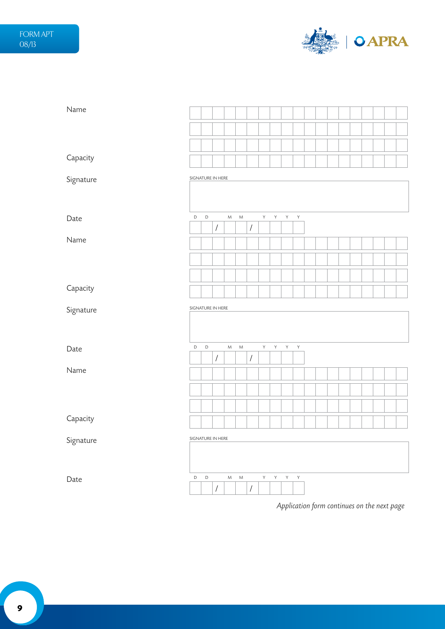

| Name      |                   |             |                      |           |           |                      |                |                |              |              |  |  |  |  |  |
|-----------|-------------------|-------------|----------------------|-----------|-----------|----------------------|----------------|----------------|--------------|--------------|--|--|--|--|--|
|           |                   |             |                      |           |           |                      |                |                |              |              |  |  |  |  |  |
|           |                   |             |                      |           |           |                      |                |                |              |              |  |  |  |  |  |
| Capacity  |                   |             |                      |           |           |                      |                |                |              |              |  |  |  |  |  |
| Signature | SIGNATURE IN HERE |             |                      |           |           |                      |                |                |              |              |  |  |  |  |  |
|           |                   |             |                      |           |           |                      |                |                |              |              |  |  |  |  |  |
| Date      | $\mathsf D$       | $\mathsf D$ | $\sqrt{2}$           | ${\sf M}$ | ${\sf M}$ | $\sqrt{\phantom{a}}$ | $\mathsf{Y}$   | Y              | Y            | $\mathsf{Y}$ |  |  |  |  |  |
| Name      |                   |             |                      |           |           |                      |                |                |              |              |  |  |  |  |  |
|           |                   |             |                      |           |           |                      |                |                |              |              |  |  |  |  |  |
|           |                   |             |                      |           |           |                      |                |                |              |              |  |  |  |  |  |
| Capacity  |                   |             |                      |           |           |                      |                |                |              |              |  |  |  |  |  |
|           |                   |             |                      |           |           |                      |                |                |              |              |  |  |  |  |  |
| Signature | SIGNATURE IN HERE |             |                      |           |           |                      |                |                |              |              |  |  |  |  |  |
|           |                   |             |                      |           |           |                      |                |                |              |              |  |  |  |  |  |
| Date      | $\mathsf D$       | $\mathsf D$ |                      | ${\sf M}$ | ${\sf M}$ |                      | Y              | $\mathsf{Y}$   | Y            | $\mathsf{Y}$ |  |  |  |  |  |
| Name      |                   |             | $\sqrt{\phantom{a}}$ |           |           | $\sqrt{\phantom{a}}$ |                |                |              |              |  |  |  |  |  |
|           |                   |             |                      |           |           |                      |                |                |              |              |  |  |  |  |  |
|           |                   |             |                      |           |           |                      |                |                |              |              |  |  |  |  |  |
|           |                   |             |                      |           |           |                      |                |                |              |              |  |  |  |  |  |
| Capacity  |                   |             |                      |           |           |                      |                |                |              |              |  |  |  |  |  |
| Signature | SIGNATURE IN HERE |             |                      |           |           |                      |                |                |              |              |  |  |  |  |  |
|           |                   |             |                      |           |           |                      |                |                |              |              |  |  |  |  |  |
| Date      | $\mathsf D$       | $\mathsf D$ | $\overline{I}$       | ${\sf M}$ | ${\sf M}$ | $\sqrt{\phantom{a}}$ | $\mathsf{Y}^-$ | $\mathsf{Y}^-$ | $\mathsf{Y}$ | $\mathsf Y$  |  |  |  |  |  |